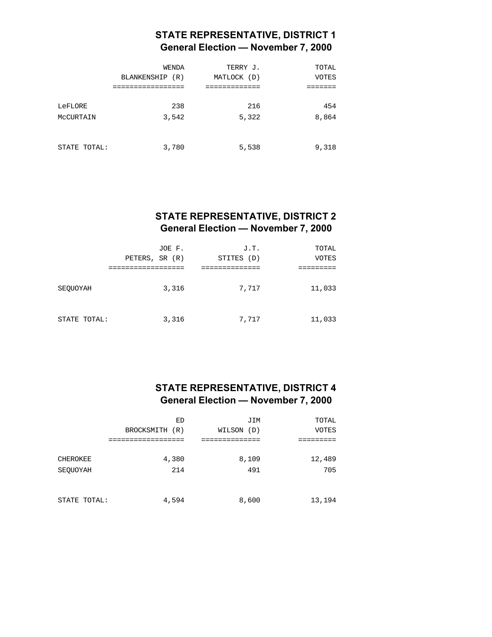# **STATE REPRESENTATIVE, DISTRICT 1 General Election — November 7, 2000**

|                      | WENDA<br>BLANKENSHIP (R)<br>============= | TERRY J.<br>MATLOCK (D) | TOTAL<br><b>VOTES</b> |
|----------------------|-------------------------------------------|-------------------------|-----------------------|
| LeFLORE<br>MCCURTAIN | 238<br>3,542                              | 216<br>5,322            | 454<br>8,864          |
| STATE TOTAL:         | 3,780                                     | 5,538                   | 9,318                 |

### **STATE REPRESENTATIVE, DISTRICT 2 General Election — November 7, 2000**

|              | JOE F.<br>PETERS, SR (R) | J.T.<br>STITES (D) | TOTAL<br><b>VOTES</b> |
|--------------|--------------------------|--------------------|-----------------------|
|              |                          |                    |                       |
| SEOUOYAH     | 3,316                    | 7,717              | 11,033                |
| STATE TOTAL: | 3,316                    | 7,717              | 11,033                |

### **STATE REPRESENTATIVE, DISTRICT 4 General Election — November 7, 2000**

|              | ED             | JIM        | TOTAL        |
|--------------|----------------|------------|--------------|
|              | BROCKSMITH (R) | WILSON (D) | <b>VOTES</b> |
|              |                |            |              |
| CHEROKEE     | 4,380          | 8,109      | 12,489       |
| SEQUOYAH     | 214            | 491        | 705          |
| STATE TOTAL: | 4,594          | 8,600      | 13,194       |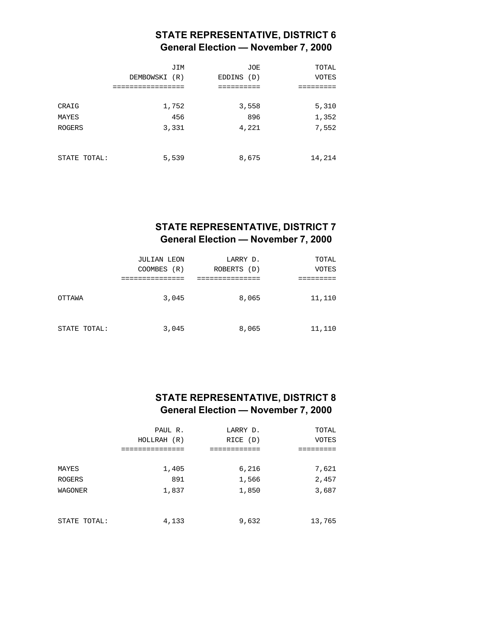### **STATE REPRESENTATIVE, DISTRICT 6 General Election — November 7, 2000**

|               | JIM<br>DEMBOWSKI (R) | <b>JOE</b><br>EDDINS (D) | TOTAL<br><b>VOTES</b> |
|---------------|----------------------|--------------------------|-----------------------|
|               |                      | ========                 |                       |
| CRAIG         | 1,752                | 3,558                    | 5,310                 |
| MAYES         | 456                  | 896                      | 1,352                 |
| <b>ROGERS</b> | 3,331                | 4,221                    | 7,552                 |
| STATE TOTAL:  | 5,539                | 8,675                    | 14,214                |

# **STATE REPRESENTATIVE, DISTRICT 7 General Election — November 7, 2000**

|              | JULIAN LEON | LARRY D.    | TOTAL  |
|--------------|-------------|-------------|--------|
|              | COOMBES (R) | ROBERTS (D) | VOTES  |
|              |             |             |        |
| OTTAWA       | 3,045       | 8,065       | 11,110 |
| STATE TOTAL: | 3,045       | 8,065       | 11,110 |

#### **STATE REPRESENTATIVE, DISTRICT 8 General Election — November 7, 2000**

| PAUL R.     | LARRY D. | TOTAL  |
|-------------|----------|--------|
| HOLLRAH (R) | RICE (D) | VOTES  |
|             |          |        |
|             |          |        |
| 1,405       | 6,216    | 7,621  |
| 891         | 1,566    | 2,457  |
| 1,837       | 1,850    | 3,687  |
|             |          |        |
|             |          |        |
| 4,133       | 9,632    | 13,765 |
|             |          |        |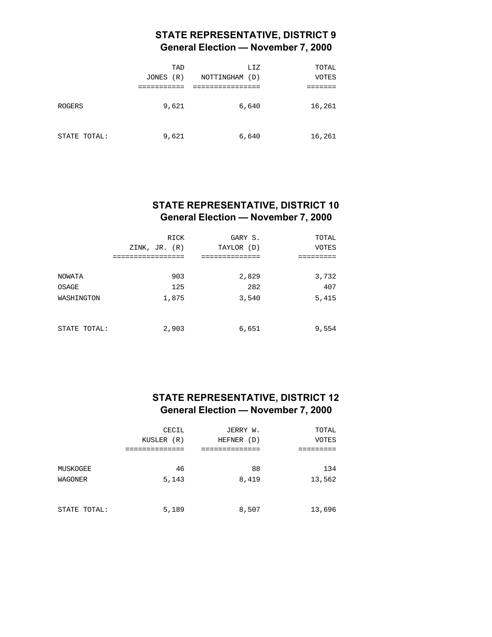### **STATE REPRESENTATIVE, DISTRICT 9 General Election — November 7, 2000**

|              | TAD<br>(R)<br>JONES | LIZ<br>NOTTINGHAM<br>(D) | TOTAL<br>VOTES |
|--------------|---------------------|--------------------------|----------------|
| ROGERS       | 9,621               | 6,640                    | 16,261         |
| STATE TOTAL: | 9,621               | 6,640                    | 16,261         |

### **STATE REPRESENTATIVE, DISTRICT 10 General Election — November 7, 2000**

|              | RICK<br>ZINK, JR. (R)<br>----------- | GARY S.<br>TAYLOR (D) | TOTAL<br><b>VOTES</b> |
|--------------|--------------------------------------|-----------------------|-----------------------|
| NOWATA       | 903                                  | 2,829                 | 3,732                 |
| OSAGE        | 125                                  | 282                   | 407                   |
| WASHINGTON   | 1,875                                | 3,540                 | 5,415                 |
| STATE TOTAL: | 2,903                                | 6,651                 | 9,554                 |

# **STATE REPRESENTATIVE, DISTRICT 12 General Election — November 7, 2000**

|              | CECIL      | JERRY W.   | TOTAL        |
|--------------|------------|------------|--------------|
|              | KUSLER (R) | HEFNER (D) | <b>VOTES</b> |
|              |            |            |              |
|              |            |            |              |
| MUSKOGEE     | 46         | 88         | 134          |
| WAGONER      | 5,143      | 8,419      | 13,562       |
|              |            |            |              |
|              |            |            |              |
| STATE TOTAL: | 5,189      | 8,507      | 13,696       |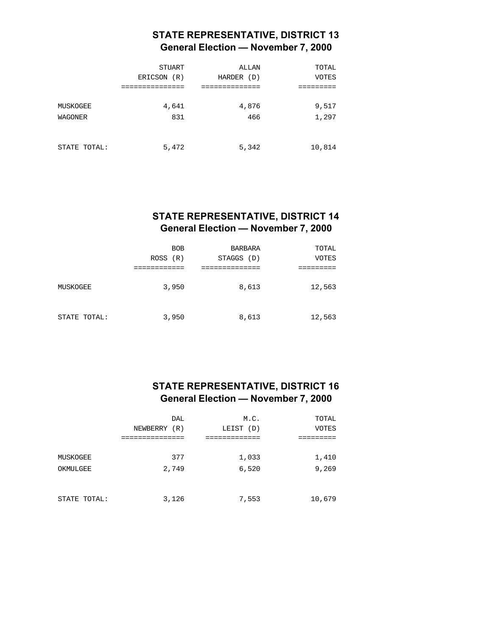# **STATE REPRESENTATIVE, DISTRICT 13 General Election — November 7, 2000**

|              | STUART<br>ERICSON<br>(R) | ALLAN<br>HARDER (D) | TOTAL<br><b>VOTES</b> |
|--------------|--------------------------|---------------------|-----------------------|
|              |                          |                     |                       |
| MUSKOGEE     | 4,641                    | 4,876               | 9,517                 |
| WAGONER      | 831                      | 466                 | 1,297                 |
| STATE TOTAL: | 5,472                    | 5,342               | 10,814                |

# **STATE REPRESENTATIVE, DISTRICT 14 General Election — November 7, 2000**

|              | <b>BOB</b><br>ROS (R) | <b>BARBARA</b><br>STAGGS (D) | TOTAL<br>VOTES |
|--------------|-----------------------|------------------------------|----------------|
| MUSKOGEE     | 3,950                 | 8,613                        | 12,563         |
| STATE TOTAL: | 3,950                 | 8,613                        | 12,563         |

### **STATE REPRESENTATIVE, DISTRICT 16 General Election — November 7, 2000**

|              | <b>DAL</b>   | M.C.      | TOTAL        |
|--------------|--------------|-----------|--------------|
|              | NEWBERRY (R) | LEIST (D) | <b>VOTES</b> |
|              |              |           |              |
|              |              |           |              |
| MUSKOGEE     | 377          | 1,033     | 1,410        |
| OKMULGEE     | 2,749        | 6,520     | 9,269        |
|              |              |           |              |
|              |              |           |              |
| STATE TOTAL: | 3,126        | 7,553     | 10,679       |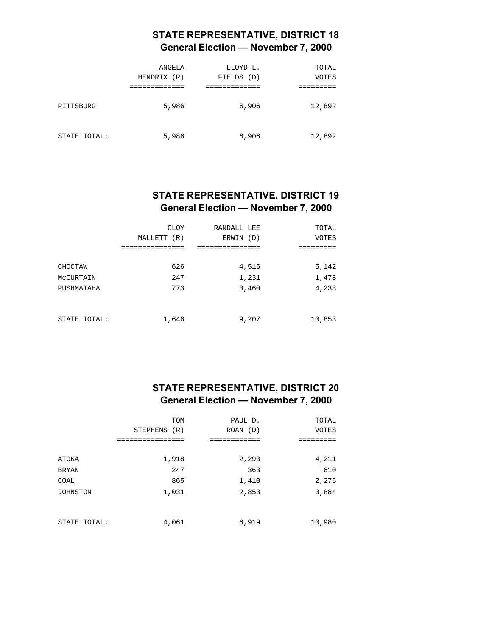# **STATE REPRESENTATIVE, DISTRICT 18 General Election — November 7, 2000**

|              | ANGELA<br>HENDRIX (R) | LLOYD L.<br>FIELDS<br>(D) | TOTAL<br>VOTES |
|--------------|-----------------------|---------------------------|----------------|
| PITTSBURG    | 5,986                 | 6,906                     | 12,892         |
| STATE TOTAL: | 5,986                 | 6,906                     | 12,892         |

# **STATE REPRESENTATIVE, DISTRICT 19 General Election — November 7, 2000**

|              | CLOY        | RANDALL LEE | TOTAL        |
|--------------|-------------|-------------|--------------|
|              | MALLETT (R) | ERWIN (D)   | <b>VOTES</b> |
| CHOCTAW      | 626         | 4,516       | 5,142        |
| MCCURTAIN    | 247         | 1,231       | 1,478        |
| PUSHMATAHA   | 773         | 3,460       | 4,233        |
| STATE TOTAL: | 1,646       | 9,207       | 10,853       |

### **STATE REPRESENTATIVE, DISTRICT 20 General Election — November 7, 2000**

|                 | <b>TOM</b>    | PAUL D.      | TOTAL        |
|-----------------|---------------|--------------|--------------|
|                 | STEPHENS (R)  | $ROAN$ $(D)$ | <b>VOTES</b> |
|                 | ------------- | ==========   |              |
|                 |               |              |              |
| ATOKA           | 1,918         | 2,293        | 4,211        |
| <b>BRYAN</b>    | 247           | 363          | 610          |
| <b>COAL</b>     | 865           | 1,410        | 2,275        |
| <b>JOHNSTON</b> | 1,031         | 2,853        | 3,884        |
|                 |               |              |              |
|                 |               |              |              |
| STATE TOTAL:    | 4,061         | 6,919        | 10,980       |
|                 |               |              |              |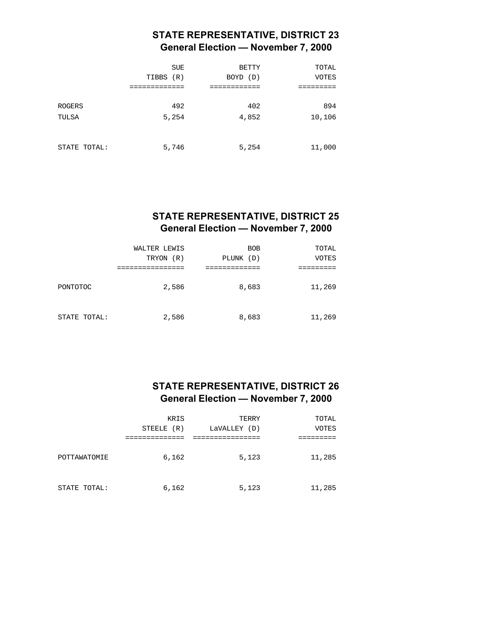# **STATE REPRESENTATIVE, DISTRICT 23 General Election — November 7, 2000**

|                        | <b>SUE</b><br>(R)<br>TIBBS | <b>BETTY</b><br>BOYD (D) | TOTAL<br><b>VOTES</b> |
|------------------------|----------------------------|--------------------------|-----------------------|
| <b>ROGERS</b><br>TULSA | 492<br>5,254               | 402<br>4,852             | 894<br>10,106         |
| STATE TOTAL:           | 5,746                      | 5,254                    | 11,000                |

# **STATE REPRESENTATIVE, DISTRICT 25 General Election — November 7, 2000**

|              | WALTER LEWIS<br>TRYON (R) | <b>BOB</b><br>PLUNK (D) | TOTAL<br>VOTES |
|--------------|---------------------------|-------------------------|----------------|
| PONTOTOC     | 2,586                     | 8,683                   | 11,269         |
| STATE TOTAL: | 2,586                     | 8,683                   | 11,269         |

#### **STATE REPRESENTATIVE, DISTRICT 26 General Election — November 7, 2000**

|              | <b>KRIS</b><br>STEELE (R) | TERRY<br>LaVALLEY (D) | TOTAL<br>VOTES |
|--------------|---------------------------|-----------------------|----------------|
|              |                           |                       |                |
| POTTAWATOMIE | 6,162                     | 5,123                 | 11,285         |
| STATE TOTAL: | 6,162                     | 5,123                 | 11,285         |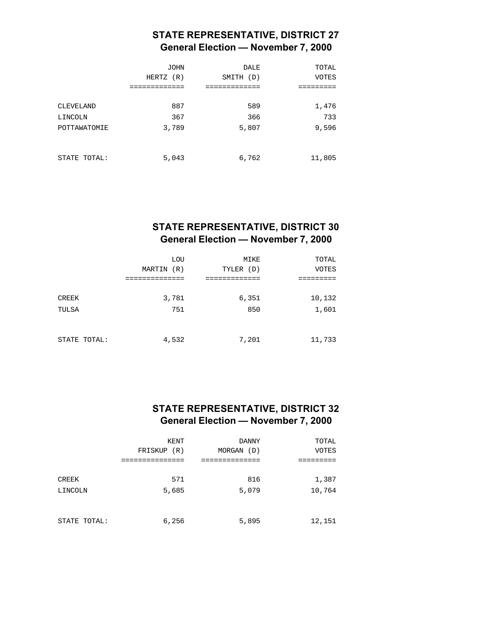# **STATE REPRESENTATIVE, DISTRICT 27 General Election — November 7, 2000**

|              | <b>JOHN</b><br>HERTZ<br>(R) | <b>DALE</b><br>SMITH (D) | TOTAL<br><b>VOTES</b> |
|--------------|-----------------------------|--------------------------|-----------------------|
|              |                             |                          |                       |
| CLEVELAND    | 887                         | 589                      | 1,476                 |
| LINCOLN      | 367                         | 366                      | 733                   |
| POTTAWATOMIE | 3,789                       | 5,807                    | 9,596                 |
|              |                             |                          |                       |
|              |                             |                          |                       |
| STATE TOTAL: | 5,043                       | 6,762                    | 11,805                |

# **STATE REPRESENTATIVE, DISTRICT 30 General Election — November 7, 2000**

|              | LOU        | MIKE      | TOTAL        |
|--------------|------------|-----------|--------------|
|              | MARTIN (R) | TYLER (D) | <b>VOTES</b> |
|              |            |           |              |
|              |            |           |              |
| CREEK        | 3,781      | 6,351     | 10,132       |
| TULSA        | 751        | 850       | 1,601        |
|              |            |           |              |
|              |            |           |              |
| STATE TOTAL: | 4,532      | 7,201     | 11,733       |

#### **STATE REPRESENTATIVE, DISTRICT 32 General Election — November 7, 2000**

|              | KENT           | <b>DANNY</b>  | TOTAL        |
|--------------|----------------|---------------|--------------|
|              | FRISKUP<br>(R) | MORGAN<br>(D) | <b>VOTES</b> |
|              |                |               |              |
|              |                |               |              |
| CREEK        | 571            | 816           | 1,387        |
| LINCOLN      | 5,685          | 5,079         | 10,764       |
|              |                |               |              |
|              |                |               |              |
| STATE TOTAL: | 6,256          | 5,895         | 12,151       |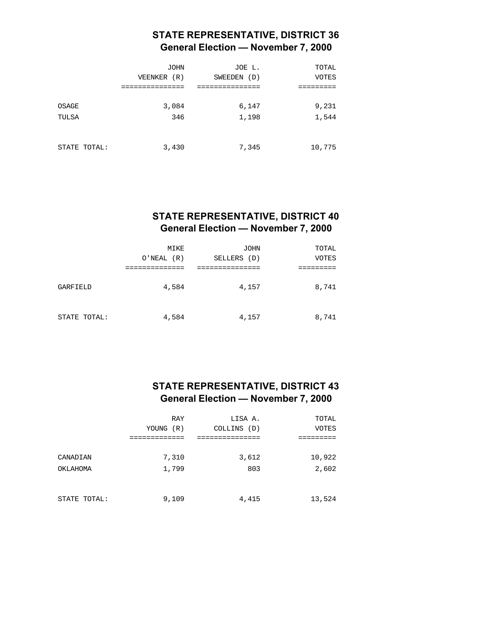# **STATE REPRESENTATIVE, DISTRICT 36 General Election — November 7, 2000**

|              | <b>JOHN</b><br>VEENKER (R) | JOE L.<br>SWEEDEN<br>(D) | TOTAL<br><b>VOTES</b> |
|--------------|----------------------------|--------------------------|-----------------------|
|              |                            |                          |                       |
| OSAGE        | 3,084                      | 6,147                    | 9,231                 |
| TULSA        | 346                        | 1,198                    | 1,544                 |
|              |                            |                          |                       |
| STATE TOTAL: | 3,430                      | 7,345                    | 10,775                |

# **STATE REPRESENTATIVE, DISTRICT 40 General Election — November 7, 2000**

|              | MIKE<br>O'NEAL (R) | JOHN<br>SELLERS<br>(D) | TOTAL<br><b>VOTES</b> |
|--------------|--------------------|------------------------|-----------------------|
|              |                    |                        |                       |
| GARFIELD     | 4,584              | 4,157                  | 8,741                 |
| STATE TOTAL: | 4,584              | 4,157                  | 8,741                 |

#### **STATE REPRESENTATIVE, DISTRICT 43 General Election — November 7, 2000**

|              | <b>RAY</b> | LISA A.     | TOTAL        |
|--------------|------------|-------------|--------------|
|              | YOUNG (R)  | COLLINS (D) | <b>VOTES</b> |
|              |            |             |              |
| CANADIAN     | 7,310      | 3,612       | 10,922       |
| OKLAHOMA     | 1,799      | 803         | 2,602        |
|              |            |             |              |
|              |            |             |              |
| STATE TOTAL: | 9,109      | 4,415       | 13,524       |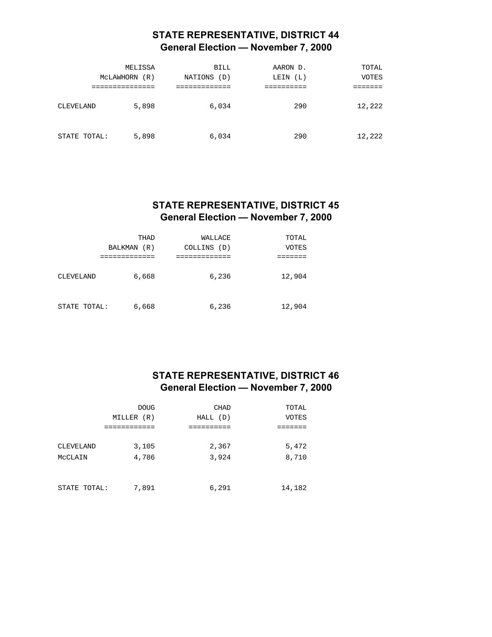# **STATE REPRESENTATIVE, DISTRICT 44 General Election — November 7, 2000**

|              | MELISSA          | BILL           | AARON D.    | TOTAL        |
|--------------|------------------|----------------|-------------|--------------|
|              | MCLAWHORN<br>(R) | NATIONS<br>(D) | (L)<br>LEIN | <b>VOTES</b> |
|              | ---------        |                |             |              |
| CLEVELAND    | 5,898            | 6,034          | 290         | 12,222       |
| STATE TOTAL: | 5,898            | 6,034          | 290         | 12,222       |

#### **STATE REPRESENTATIVE, DISTRICT 45 General Election — November 7, 2000**

|              | THAD                  | WALLACE        | TOTAL        |
|--------------|-----------------------|----------------|--------------|
|              | <b>BALKMAN</b><br>(R) | COLLINS<br>(D) | <b>VOTES</b> |
|              | ---------             |                |              |
| CLEVELAND    | 6,668                 | 6,236          | 12,904       |
| STATE TOTAL: | 6,668                 | 6,236          | 12,904       |

### **STATE REPRESENTATIVE, DISTRICT 46 General Election — November 7, 2000**

|                  | <b>DOUG</b><br>MILLER (R) | CHAD<br>HALL (D) | TOTAL<br>VOTES |
|------------------|---------------------------|------------------|----------------|
|                  |                           |                  |                |
| <b>CLEVELAND</b> | 3,105                     | 2,367            | 5,472          |
| MCCLAIN          | 4,786                     | 3,924            | 8,710          |
|                  |                           |                  |                |
| STATE TOTAL:     | 7,891                     | 6,291            | 14,182         |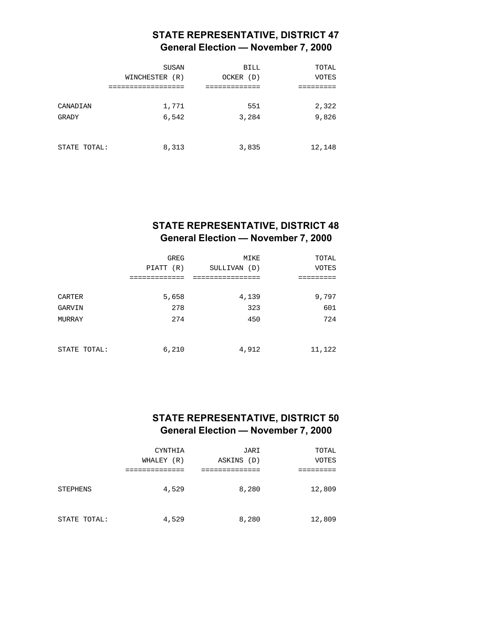# **STATE REPRESENTATIVE, DISTRICT 47 General Election — November 7, 2000**

|              | SUSAN          | <b>BILL</b> | TOTAL        |
|--------------|----------------|-------------|--------------|
|              | WINCHESTER (R) | OCKER (D)   | <b>VOTES</b> |
| CANADIAN     | 1,771          | 551         | 2,322        |
| GRADY        | 6,542          | 3,284       | 9,826        |
| STATE TOTAL: | 8,313          | 3,835       | 12,148       |

# **STATE REPRESENTATIVE, DISTRICT 48 General Election — November 7, 2000**

|              | <b>GREG</b> | MIKE         | TOTAL        |
|--------------|-------------|--------------|--------------|
|              | PIATT (R)   | SULLIVAN (D) | <b>VOTES</b> |
|              |             |              |              |
|              |             |              |              |
| CARTER       | 5,658       | 4,139        | 9,797        |
| GARVIN       | 278         | 323          | 601          |
| MURRAY       | 274         | 450          | 724          |
|              |             |              |              |
|              |             |              |              |
| STATE TOTAL: | 6,210       | 4,912        | 11,122       |

# **STATE REPRESENTATIVE, DISTRICT 50 General Election — November 7, 2000**

|              | CYNTHIA    | JARI       | TOTAL        |
|--------------|------------|------------|--------------|
|              | WHALEY (R) | ASKINS (D) | <b>VOTES</b> |
|              |            |            |              |
| STEPHENS     | 4,529      | 8,280      | 12,809       |
| STATE TOTAL: | 4,529      | 8,280      | 12,809       |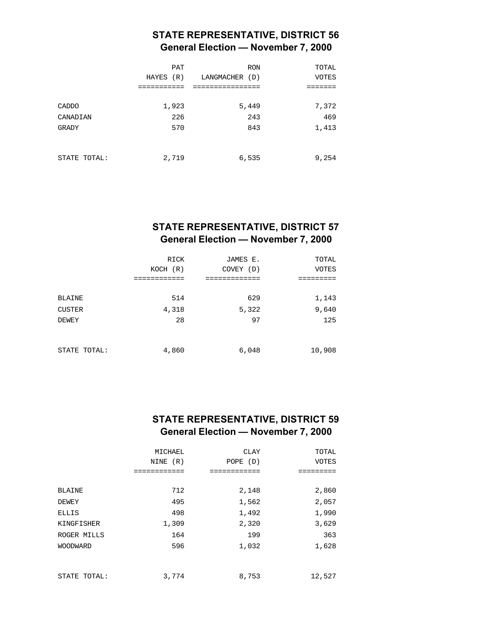# **STATE REPRESENTATIVE, DISTRICT 56 General Election — November 7, 2000**

|              | <b>PAT</b><br>HAYES (R) | <b>RON</b><br>LANGMACHER (D) | TOTAL<br><b>VOTES</b> |
|--------------|-------------------------|------------------------------|-----------------------|
|              |                         |                              |                       |
| CADDO        | 1,923                   | 5,449                        | 7,372                 |
| CANADIAN     | 226                     | 243                          | 469                   |
| GRADY        | 570                     | 843                          | 1,413                 |
| STATE TOTAL: | 2,719                   | 6,535                        | 9,254                 |

# **STATE REPRESENTATIVE, DISTRICT 57 General Election — November 7, 2000**

|               | RICK<br>KOCH (R) | JAMES E.<br>COVEY (D) | TOTAL<br><b>VOTES</b> |
|---------------|------------------|-----------------------|-----------------------|
|               | ----------       | ---------             |                       |
| <b>BLAINE</b> | 514              | 629                   | 1,143                 |
| <b>CUSTER</b> | 4,318            | 5,322                 | 9,640                 |
| <b>DEWEY</b>  | 28               | 97                    | 125                   |
| STATE TOTAL:  | 4,860            | 6,048                 | 10,908                |

### **STATE REPRESENTATIVE, DISTRICT 59 General Election — November 7, 2000**

|                 | MICHAEL  | <b>CLAY</b> | TOTAL        |
|-----------------|----------|-------------|--------------|
|                 | NINE (R) | POPE (D)    | <b>VOTES</b> |
|                 |          |             |              |
|                 |          |             |              |
| <b>BLAINE</b>   | 712      | 2,148       | 2,860        |
| DEWEY           | 495      | 1,562       | 2,057        |
| ELLIS           | 498      | 1,492       | 1,990        |
| KINGFISHER      | 1,309    | 2,320       | 3,629        |
| ROGER MILLS     | 164      | 199         | 363          |
| <b>WOODWARD</b> | 596      | 1,032       | 1,628        |
|                 |          |             |              |
| STATE TOTAL:    | 3,774    | 8,753       | 12,527       |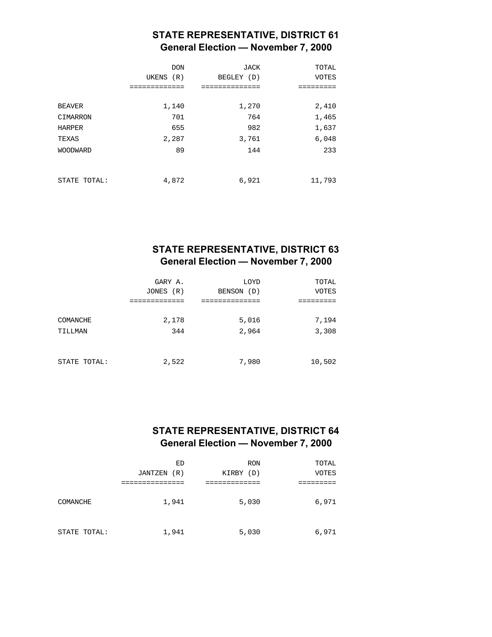# **STATE REPRESENTATIVE, DISTRICT 61 General Election — November 7, 2000**

|                           | <b>DON</b><br>UKENS (R)<br>--------- | JACK<br>BEGLEY (D) | TOTAL<br><b>VOTES</b><br>===== |
|---------------------------|--------------------------------------|--------------------|--------------------------------|
| <b>BEAVER</b><br>CIMARRON | 1,140<br>701                         | 1,270<br>764       | 2,410<br>1,465                 |
| HARPER<br>TEXAS           | 655<br>2,287                         | 982<br>3,761       | 1,637<br>6,048                 |
| <b>WOODWARD</b>           | 89                                   | 144                | 233                            |
| STATE TOTAL:              | 4,872                                | 6,921              | 11,793                         |

#### **STATE REPRESENTATIVE, DISTRICT 63 General Election — November 7, 2000**

|              | GARY A.<br>JONES (R) | LOYD<br>BENSON<br>(D) | TOTAL<br><b>VOTES</b> |
|--------------|----------------------|-----------------------|-----------------------|
|              |                      |                       |                       |
| COMANCHE     | 2,178                | 5,016                 | 7,194                 |
| TILLMAN      | 344                  | 2,964                 | 3,308                 |
|              |                      |                       |                       |
| STATE TOTAL: | 2,522                | 7,980                 | 10,502                |

#### **STATE REPRESENTATIVE, DISTRICT 64 General Election — November 7, 2000**

|              | ED<br>JANTZEN<br>(R) | <b>RON</b><br>KIRBY<br>(D) | TOTAL<br><b>VOTES</b> |
|--------------|----------------------|----------------------------|-----------------------|
|              |                      |                            |                       |
| COMANCHE     | 1,941                | 5,030                      | 6,971                 |
| STATE TOTAL: | 1,941                | 5,030                      | 6,971                 |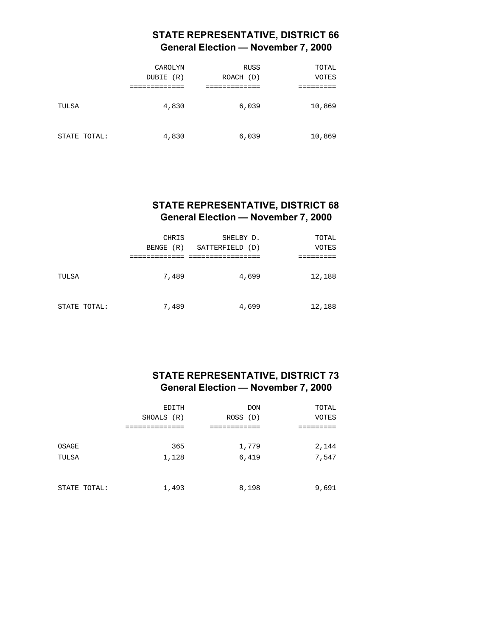# **STATE REPRESENTATIVE, DISTRICT 66 General Election — November 7, 2000**

|              | CAROLYN<br>DUBIE<br>(R) | <b>RUSS</b><br>ROACH (D) | TOTAL<br>VOTES |
|--------------|-------------------------|--------------------------|----------------|
| TULSA        | 4,830                   | 6,039                    | 10,869         |
| STATE TOTAL: | 4,830                   | 6,039                    | 10,869         |

#### **STATE REPRESENTATIVE, DISTRICT 68 General Election — November 7, 2000**

|              | CHRIS<br>BENGE (R) | SHELBY D.<br>SATTERFIELD (D) | TOTAL<br><b>VOTES</b> |
|--------------|--------------------|------------------------------|-----------------------|
| TULSA        | 7,489              | 4,699                        | 12,188                |
| STATE TOTAL: | 7,489              | 4,699                        | 12,188                |

### **STATE REPRESENTATIVE, DISTRICT 73 General Election — November 7, 2000**

|              | EDITH      | <b>DON</b> | TOTAL        |
|--------------|------------|------------|--------------|
|              | SHOALS (R) | ROSS (D)   | <b>VOTES</b> |
| OSAGE        | 365        | 1,779      | 2,144        |
| TULSA        | 1,128      | 6,419      | 7,547        |
| STATE TOTAL: | 1,493      | 8,198      | 9,691        |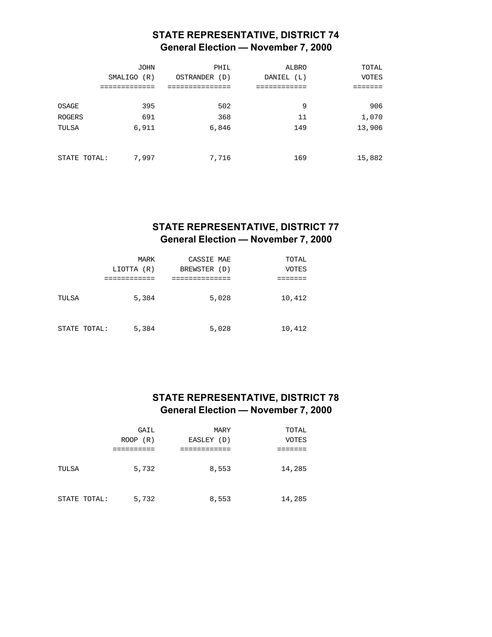# **STATE REPRESENTATIVE, DISTRICT 74 General Election — November 7, 2000**

| <b>JOHN</b> | PHIL             | ALBRO      | TOTAL        |
|-------------|------------------|------------|--------------|
| SMALIGO (R) | OSTRANDER<br>(D) | DANIEL (L) | <b>VOTES</b> |
|             |                  |            |              |
|             |                  |            |              |
| 395         | 502              | 9          | 906          |
| 691         | 368              | 11         | 1,070        |
| 6,911       | 6,846            | 149        | 13,906       |
|             |                  |            |              |
|             |                  |            |              |
| 7,997       | 7,716            | 169        | 15,882       |
|             | STATE TOTAL:     |            |              |

# **STATE REPRESENTATIVE, DISTRICT 77 General Election — November 7, 2000**

|              | MARK       | CASSIE MAE   |       | TOTAL  |
|--------------|------------|--------------|-------|--------|
|              | LIOTTA (R) | BREWSTER (D) |       | VOTES  |
|              |            |              |       |        |
| TULSA        | 5,384      |              | 5,028 | 10,412 |
| STATE TOTAL: | 5,384      |              | 5,028 | 10,412 |

# **STATE REPRESENTATIVE, DISTRICT 78 General Election — November 7, 2000**

|              | GAIL        | MARY       | TOTAL        |
|--------------|-------------|------------|--------------|
|              | (R)<br>ROOP | EASLEY (D) | <b>VOTES</b> |
|              |             |            |              |
| TULSA        | 5,732       | 8,553      | 14,285       |
| STATE TOTAL: | 5,732       | 8,553      | 14,285       |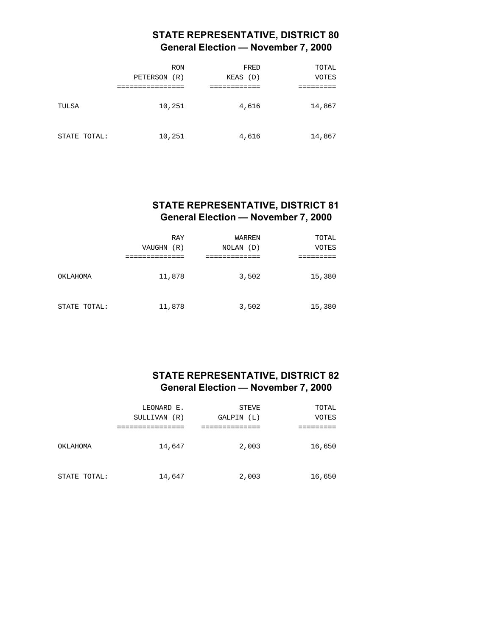# **STATE REPRESENTATIVE, DISTRICT 80 General Election — November 7, 2000**

|              | <b>RON</b><br>PETERSON<br>(R) | FRED<br>KEAS (D) | TOTAL<br><b>VOTES</b> |
|--------------|-------------------------------|------------------|-----------------------|
| TULSA        | 10,251                        | 4,616            | 14,867                |
| STATE TOTAL: | 10,251                        | 4,616            | 14,867                |

#### **STATE REPRESENTATIVE, DISTRICT 81 General Election — November 7, 2000**

|              | RAY<br>VAUGHN (R) | WARREN<br>NOLAN (D) | TOTAL<br><b>VOTES</b> |
|--------------|-------------------|---------------------|-----------------------|
| OKLAHOMA     | 11,878            | 3,502               | 15,380                |
| STATE TOTAL: | 11,878            | 3,502               | 15,380                |

### **STATE REPRESENTATIVE, DISTRICT 82 General Election — November 7, 2000**

|              | LEONARD E.<br>SULLIVAN<br>(R) | <b>STEVE</b><br>GALPIN<br>(L) | TOTAL<br><b>VOTES</b> |
|--------------|-------------------------------|-------------------------------|-----------------------|
|              |                               |                               |                       |
| OKLAHOMA     | 14,647                        | 2,003                         | 16,650                |
| STATE TOTAL: | 14,647                        | 2,003                         | 16,650                |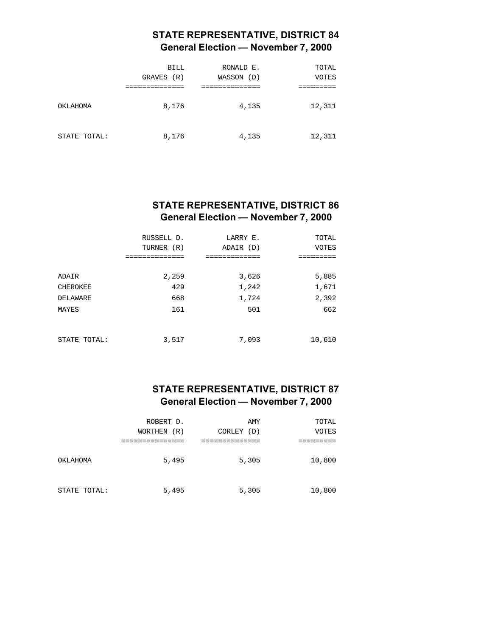# **STATE REPRESENTATIVE, DISTRICT 84 General Election — November 7, 2000**

|              | <b>BILL</b><br>GRAVES (R) | RONALD E.<br>WASSON<br>(D) | TOTAL<br><b>VOTES</b> |
|--------------|---------------------------|----------------------------|-----------------------|
| OKLAHOMA     | 8,176                     | 4,135                      | 12,311                |
| STATE TOTAL: | 8,176                     | 4,135                      | 12,311                |

#### **STATE REPRESENTATIVE, DISTRICT 86 General Election — November 7, 2000**

|              | RUSSELL D.<br>TURNER (R) | LARRY E.<br>ADAIR (D) | TOTAL<br><b>VOTES</b> |
|--------------|--------------------------|-----------------------|-----------------------|
|              | :===========             | :===========          |                       |
| ADAIR        | 2,259                    | 3,626                 | 5,885                 |
| CHEROKEE     | 429                      | 1,242                 | 1,671                 |
| DELAWARE     | 668                      | 1,724                 | 2,392                 |
| MAYES        | 161                      | 501                   | 662                   |
|              |                          |                       |                       |
| STATE TOTAL: | 3,517                    | 7,093                 | 10,610                |

#### **STATE REPRESENTATIVE, DISTRICT 87 General Election — November 7, 2000**

|              | ROBERT D.<br>WORTHEN (R) | AMY<br>CORLEY (D) | TOTAL<br><b>VOTES</b> |
|--------------|--------------------------|-------------------|-----------------------|
|              |                          |                   |                       |
| OKLAHOMA     | 5,495                    | 5,305             | 10,800                |
| STATE TOTAL: | 5,495                    | 5,305             | 10,800                |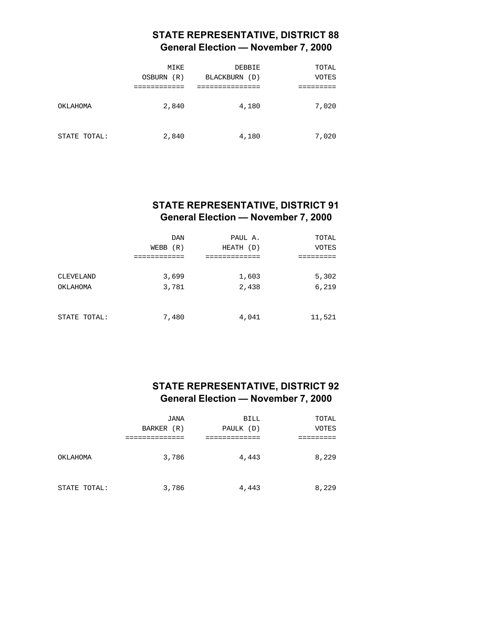# **STATE REPRESENTATIVE, DISTRICT 88 General Election — November 7, 2000**

|              | MIKE<br>OSBURN<br>(R) | <b>DEBBIE</b><br><b>BLACKBURN</b><br>(D) | TOTAL<br>VOTES |
|--------------|-----------------------|------------------------------------------|----------------|
| OKLAHOMA     | 2,840                 | 4,180                                    | 7,020          |
| STATE TOTAL: | 2,840                 | 4,180                                    | 7,020          |

#### **STATE REPRESENTATIVE, DISTRICT 91 General Election — November 7, 2000**

|                       | DAN<br>(R)<br>WEBB | PAUL A.<br>HEATH (D) | TOTAL<br><b>VOTES</b> |
|-----------------------|--------------------|----------------------|-----------------------|
| CLEVELAND<br>OKLAHOMA | 3,699<br>3,781     | 1,603<br>2,438       | 5,302<br>6,219        |
| STATE TOTAL:          | 7,480              | 4,041                | 11,521                |

#### **STATE REPRESENTATIVE, DISTRICT 92 General Election — November 7, 2000**

|              | JANA       | <b>BILL</b> | TOTAL |
|--------------|------------|-------------|-------|
|              | BARKER (R) | PAULK (D)   | VOTES |
|              |            |             |       |
| OKLAHOMA     | 3,786      | 4,443       | 8,229 |
| STATE TOTAL: | 3,786      | 4,443       | 8,229 |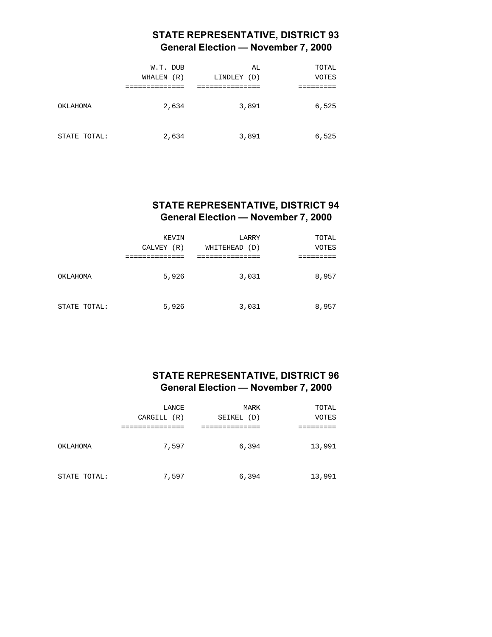# **STATE REPRESENTATIVE, DISTRICT 93 General Election — November 7, 2000**

|              | W.T. DUB<br>WHALEN<br>(R) | AL<br>LINDLEY<br>(D) | TOTAL<br>VOTES |
|--------------|---------------------------|----------------------|----------------|
| OKLAHOMA     | 2,634                     | 3,891                | 6,525          |
| STATE TOTAL: | 2,634                     | 3,891                | 6,525          |

#### **STATE REPRESENTATIVE, DISTRICT 94 General Election — November 7, 2000**

|              | KEVIN<br>CALVEY (R) | LARRY<br>WHITEHEAD<br>(D) | TOTAL<br>VOTES |
|--------------|---------------------|---------------------------|----------------|
| OKLAHOMA     | 5,926               | 3,031                     | 8,957          |
| STATE TOTAL: | 5,926               | 3,031                     | 8,957          |

### **STATE REPRESENTATIVE, DISTRICT 96 General Election — November 7, 2000**

|              | LANCE<br>CARGILL (R) | MARK<br>SEIKEL (D) | TOTAL<br><b>VOTES</b> |
|--------------|----------------------|--------------------|-----------------------|
| OKLAHOMA     | 7,597                | 6,394              | 13,991                |
| STATE TOTAL: | 7,597                | 6,394              | 13,991                |